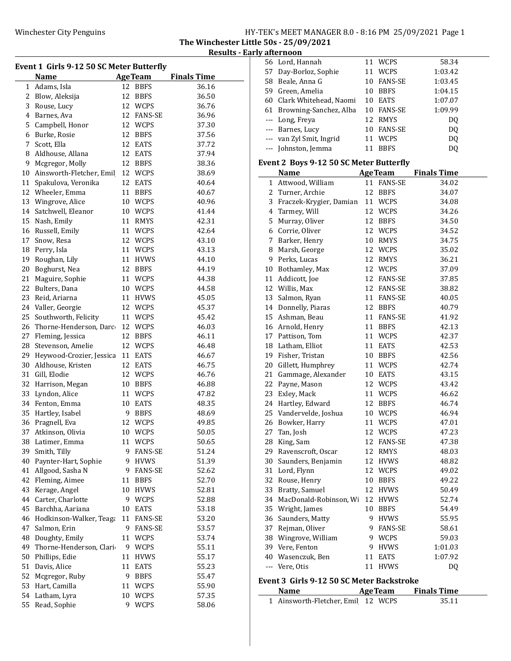The Winchester Little 50s - 25/09/2021 Results - Early afternoon

| Event 1 Girls 9-12 50 SC Meter Butterfly |                          |    |                |                    |  |
|------------------------------------------|--------------------------|----|----------------|--------------------|--|
|                                          | Name                     |    | <b>AgeTeam</b> | <b>Finals Time</b> |  |
| $\mathbf{1}$                             | Adams, Isla              | 12 | <b>BBFS</b>    | 36.16              |  |
| 2                                        | Blow, Aleksija           | 12 | <b>BBFS</b>    | 36.50              |  |
| 3                                        | Rouse, Lucy              |    | 12 WCPS        | 36.76              |  |
| 4                                        | Barnes, Ava              |    | 12 FANS-SE     | 36.96              |  |
| 5                                        | Campbell, Honor          |    | 12 WCPS        | 37.30              |  |
| 6                                        | Burke, Rosie             |    | 12 BBFS        | 37.56              |  |
| 7                                        | Scott, Ella              | 12 | EATS           | 37.72              |  |
| 8                                        | Aldhouse, Allana         |    | 12 EATS        | 37.94              |  |
| 9                                        | Mcgregor, Molly          |    | 12 BBFS        | 38.36              |  |
| 10                                       | Ainsworth-Fletcher, Emil |    | 12 WCPS        | 38.69              |  |
| 11                                       | Spakulova, Veronika      |    | 12 EATS        | 40.64              |  |
| 12                                       | Wheeler, Emma            |    | 11 BBFS        | 40.67              |  |
| 13                                       | Wingrove, Alice          |    | 10 WCPS        | 40.96              |  |
| 14                                       | Satchwell, Eleanor       | 10 | WCPS           | 41.44              |  |
| 15                                       | Nash, Emily              |    | 11 RMYS        | 42.31              |  |
| 16                                       | Russell, Emily           |    | 11 WCPS        | 42.64              |  |
| 17                                       | Snow, Resa               |    | 12 WCPS        | 43.10              |  |
| 18                                       | Perry, Isla              |    |                | 43.13              |  |
|                                          | Roughan, Lily            |    | 11 WCPS        |                    |  |
| 19                                       |                          |    | 11 HVWS        | 44.10              |  |
| 20                                       | Boghurst, Nea            |    | 12 BBFS        | 44.19              |  |
| 21                                       | Maguire, Sophie          |    | 11 WCPS        | 44.38              |  |
| 22                                       | Bulters, Dana            |    | 10 WCPS        | 44.58              |  |
| 23                                       | Reid, Ariarna            | 11 | <b>HVWS</b>    | 45.05              |  |
| 24                                       | Valler, Georgie          |    | 12 WCPS        | 45.37              |  |
| 25                                       | Southworth, Felicity     |    | 11 WCPS        | 45.42              |  |
| 26                                       | Thorne-Henderson, Darc   |    | 12 WCPS        | 46.03              |  |
| 27                                       | Fleming, Jessica         | 12 | <b>BBFS</b>    | 46.11              |  |
| 28                                       | Stevenson, Amelie        |    | 12 WCPS        | 46.48              |  |
| 29                                       | Heywood-Crozier, Jessica |    | 11 EATS        | 46.67              |  |
| 30                                       | Aldhouse, Kristen        | 12 | EATS           | 46.75              |  |
| 31                                       | Gill, Elodie             | 12 | WCPS           | 46.76              |  |
| 32                                       | Harrison, Megan          | 10 | BBFS           | 46.88              |  |
| 33                                       | Lyndon, Alice            |    | 11 WCPS        | 47.82              |  |
| 34                                       | Fenton, Emma             | 10 | EATS           | 48.35              |  |
| 35                                       | Hartley, Isabel          | 9  | <b>BBFS</b>    | 48.69              |  |
| 36                                       | Pragnell, Eva            |    | 12 WCPS        | 49.85              |  |
|                                          | 37 Atkinson, Olivia      |    | 10 WCPS        | 50.05              |  |
|                                          | 38 Latimer, Emma         |    | 11 WCPS        | 50.65              |  |
| 39                                       | Smith, Tilly             | 9  | <b>FANS-SE</b> | 51.24              |  |
| 40                                       | Paynter-Hart, Sophie     | 9. | <b>HVWS</b>    | 51.39              |  |
| 41                                       | Allgood, Sasha N         | 9. | <b>FANS-SE</b> | 52.62              |  |
| 42                                       | Fleming, Aimee           | 11 | <b>BBFS</b>    | 52.70              |  |
| 43                                       | Kerage, Angel            | 10 | <b>HVWS</b>    | 52.81              |  |
| 44                                       | Carter, Charlotte        | 9  | <b>WCPS</b>    | 52.88              |  |
| 45                                       | Barchha, Aariana         | 10 | EATS           | 53.18              |  |
| 46                                       | Hodkinson-Walker, Teaga  |    | 11 FANS-SE     | 53.20              |  |
| 47                                       | Salmon, Erin             | 9  | <b>FANS-SE</b> | 53.57              |  |
| 48                                       | Doughty, Emily           | 11 | <b>WCPS</b>    |                    |  |
|                                          |                          |    |                | 53.74              |  |
| 49                                       | Thorne-Henderson, Clari  | 9  | <b>WCPS</b>    | 55.11              |  |
| 50                                       | Phillips, Edie           | 11 | <b>HVWS</b>    | 55.17              |  |
| 51                                       | Davis, Alice             | 11 | EATS           | 55.23              |  |
| 52                                       | Mcgregor, Ruby           | 9  | <b>BBFS</b>    | 55.47              |  |
| 53                                       | Hart, Camilla            | 11 | WCPS           | 55.90              |  |
| 54                                       | Latham, Lyra             | 10 | <b>WCPS</b>    | 57.35              |  |
| 55                                       | Read, Sophie             | 9  | <b>WCPS</b>    | 58.06              |  |

| 56    | Lord, Hannah                              |    | 11 WCPS        | 58.34              |  |
|-------|-------------------------------------------|----|----------------|--------------------|--|
|       | 57 Day-Borloz, Sophie                     | 11 | WCPS           | 1:03.42            |  |
|       | 58 Beale, Anna G                          | 10 | <b>FANS-SE</b> | 1:03.45            |  |
|       | 59 Green, Amelia                          | 10 | <b>BBFS</b>    | 1:04.15            |  |
|       | 60 Clark Whitehead, Naomi                 |    | 10 EATS        | 1:07.07            |  |
|       | 61 Browning-Sanchez, Alba                 |    | 10 FANS-SE     | 1:09.99            |  |
|       | --- Long, Freya                           | 12 | RMYS           | DQ                 |  |
|       | --- Barnes, Lucy                          | 10 | <b>FANS-SE</b> | DQ                 |  |
|       | --- van Zyl Smit, Ingrid                  |    | 11 WCPS        | DQ                 |  |
| $---$ | Johnston, Jemma                           | 11 | <b>BBFS</b>    | DQ                 |  |
|       |                                           |    |                |                    |  |
|       | Event 2 Boys 9-12 50 SC Meter Butterfly   |    |                |                    |  |
|       | <b>Name</b>                               |    | <b>AgeTeam</b> | <b>Finals Time</b> |  |
| 1     | Attwood, William                          | 11 | <b>FANS-SE</b> | 34.02              |  |
|       | 2 Turner, Archie                          | 12 | <b>BBFS</b>    | 34.07              |  |
|       | 3 Fraczek-Krygier, Damian                 | 11 | <b>WCPS</b>    | 34.08              |  |
|       | 4 Tarmey, Will                            | 12 | WCPS           | 34.26              |  |
| 5     | Murray, Oliver                            | 12 | <b>BBFS</b>    | 34.50              |  |
|       | 6 Corrie, Oliver                          | 12 | WCPS           | 34.52              |  |
|       | 7 Barker, Henry                           | 10 | <b>RMYS</b>    | 34.75              |  |
| 8     | Marsh, George                             | 12 | <b>WCPS</b>    | 35.02              |  |
| 9     | Perks, Lucas                              | 12 | RMYS           | 36.21              |  |
| 10    | Bothamley, Max                            | 12 | WCPS           | 37.09              |  |
|       | 11 Addicott, Joe                          | 12 | <b>FANS-SE</b> | 37.85              |  |
|       | 12 Willis, Max                            | 12 | FANS-SE        | 38.82              |  |
|       | 13 Salmon, Ryan                           |    | 11 FANS-SE     | 40.05              |  |
|       | 14 Donnelly, Piaras                       |    | 12 BBFS        | 40.79              |  |
|       | 15 Ashman, Beau                           | 11 | <b>FANS-SE</b> | 41.92              |  |
|       | 16 Arnold, Henry                          |    | 11 BBFS        | 42.13              |  |
|       | 17 Pattison, Tom                          |    | 11 WCPS        | 42.37              |  |
|       | 18 Latham, Elliot                         | 11 | <b>EATS</b>    | 42.53              |  |
|       | 19 Fisher, Tristan                        |    | 10 BBFS        | 42.56              |  |
|       | 20 Gillett, Humphrey                      | 11 | <b>WCPS</b>    | 42.74              |  |
| 21    | Gammage, Alexander                        | 10 | EATS           | 43.15              |  |
| 22    | Payne, Mason                              | 12 | WCPS           | 43.42              |  |
| 23    | Exley, Mack                               | 11 | WCPS           | 46.62              |  |
| 24    | Hartley, Edward                           | 12 | <b>BBFS</b>    | 46.74              |  |
|       | 25 Vandervelde, Joshua                    | 10 | <b>WCPS</b>    | 46.94              |  |
| 26    | Bowker, Harry                             | 11 | <b>WCPS</b>    | 47.01              |  |
|       | 27 Tan, Josh                              |    | 12 WCPS        | 47.23              |  |
| 28    | King, Sam                                 |    | 12 FANS-SE     | 47.38              |  |
|       | 29 Ravenscroft, Oscar                     | 12 | <b>RMYS</b>    | 48.03              |  |
|       | 30 Saunders, Benjamin                     | 12 | <b>HVWS</b>    | 48.82              |  |
|       | 31 Lord, Flynn                            |    | 12 WCPS        | 49.02              |  |
|       | 32 Rouse, Henry                           | 10 | <b>BBFS</b>    | 49.22              |  |
|       | 33 Bratty, Samuel                         | 12 | <b>HVWS</b>    | 50.49              |  |
| 34    | MacDonald-Robinson, Wi                    | 12 | <b>HVWS</b>    | 52.74              |  |
|       | 35 Wright, James                          | 10 | <b>BBFS</b>    | 54.49              |  |
|       | 36 Saunders, Matty                        | 9. | <b>HVWS</b>    | 55.95              |  |
|       | 37 Rejman, Oliver                         | 9  | <b>FANS-SE</b> | 58.61              |  |
|       | 38 Wingrove, William                      | 9  | <b>WCPS</b>    | 59.03              |  |
|       | 39 Vere, Fenton                           | 9  | <b>HVWS</b>    | 1:01.03            |  |
|       |                                           | 11 | <b>EATS</b>    |                    |  |
| $---$ | 40 Wasenczuk, Ben<br>Vere, Otis           | 11 | <b>HVWS</b>    | 1:07.92<br>DQ      |  |
|       |                                           |    |                |                    |  |
|       | Event 3 Girls 9-12 50 SC Meter Backstroke |    |                |                    |  |
|       | <b>Name</b>                               |    | <b>AgeTeam</b> | <b>Finals Time</b> |  |

1 Ainsworth-Fletcher, Emil 12 WCPS 35.11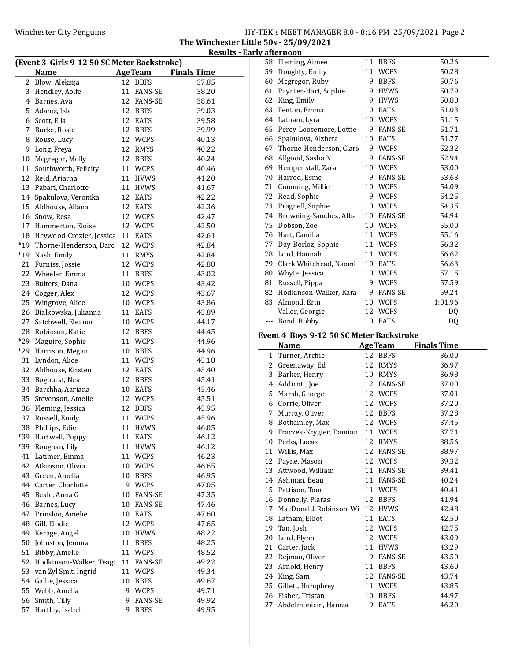The Winchester Little 50s - 25/09/2021 Results - Early afternoon

|       | (Event 3 Girls 9-12 50 SC Meter Backstroke) |    |                   | <b>Finals Time</b> |
|-------|---------------------------------------------|----|-------------------|--------------------|
|       | <b>Name</b>                                 |    | <b>AgeTeam</b>    |                    |
|       | 2 Blow, Aleksija                            |    | 12 BBFS           | 37.85              |
| 3     | Hendley, Aoife                              | 11 | <b>FANS-SE</b>    | 38.20              |
|       | 4 Barnes, Ava                               |    | 12 FANS-SE        | 38.61              |
|       | 5 Adams, Isla                               |    | 12 BBFS           | 39.03              |
|       | 6 Scott, Ella                               |    | 12 EATS           | 39.58              |
| 7     | Burke, Rosie                                |    | 12 BBFS           | 39.99              |
| 8     | Rouse, Lucy                                 |    | 12 WCPS           | 40.13              |
| 9     | Long, Freya                                 |    | 12 RMYS           | 40.22              |
| 10    | Mcgregor, Molly                             |    | 12 BBFS           | 40.24              |
| 11    | Southworth, Felicity                        |    | 11 WCPS           | 40.46              |
|       | 12 Reid, Ariarna                            |    | 11 HVWS           | 41.20              |
|       | 13 Pabari, Charlotte                        |    | 11 HVWS           | 41.67              |
| 14    | Spakulova, Veronika                         |    | 12 EATS           | 42.22              |
| 15    | Aldhouse, Allana                            |    | 12 EATS           | 42.36              |
| 16    | Snow, Resa                                  |    | 12 WCPS           | 42.47              |
| 17    | Hammerton, Eloise                           |    | 12 WCPS           | 42.50              |
| 18    | Heywood-Crozier, Jessica                    |    | 11 EATS           | 42.61              |
| $*19$ | Thorne-Henderson, Darc                      |    | 12 WCPS           | 42.84              |
| $*19$ | Nash, Emily                                 | 11 | <b>RMYS</b>       | 42.84              |
| 21    | Furniss, Jossie                             |    | 12 WCPS           | 42.88              |
|       | 22 Wheeler, Emma                            |    | 11 BBFS           | 43.02              |
| 23    | Bulters, Dana                               |    | 10 WCPS           | 43.42              |
| 24    | Cogger, Alex                                |    | 12 WCPS           | 43.67              |
| 25    | Wingrove, Alice                             |    | 10 WCPS           | 43.86              |
| 26    | Bialkowska, Julianna                        |    | 11 EATS           | 43.89              |
| 27    | Satchwell, Eleanor                          |    | 10 WCPS           | 44.17              |
| 28    | Robinson, Katie                             |    | 12 BBFS           | 44.45              |
| *29   | Maguire, Sophie                             |    | 11 WCPS           | 44.96              |
| $*29$ | Harrison, Megan                             |    | 10 BBFS           | 44.96              |
| 31    | Lyndon, Alice                               |    | 11 WCPS           | 45.18              |
| 32    | Aldhouse, Kristen                           |    | 12 EATS           | 45.40              |
| 33    | Boghurst, Nea                               |    | 12 BBFS           | 45.41              |
| 34    | Barchha, Aariana                            |    | 10 EATS           | 45.46              |
| 35    | Stevenson, Amelie                           |    | 12 WCPS           | 45.51              |
| 36    | Fleming, Jessica                            |    | 12 BBFS           | 45.95              |
| 37    | Russell, Emily                              |    | 11 WCPS           | 45.96              |
|       | 38 Phillips, Edie                           |    | 11 HVWS           | 46.05              |
| *39   | Hartwell, Poppy                             | 11 | <b>EATS</b>       | 46.12              |
| *39   | Roughan, Lily                               | 11 | <b>HVWS</b>       |                    |
| 41    | Latimer, Emma                               | 11 | <b>WCPS</b>       | 46.12<br>46.23     |
| 42    | Atkinson, Olivia                            |    | 10 WCPS           | 46.65              |
| 43    |                                             |    |                   |                    |
| 44    | Green, Amelia                               |    | 10 BBFS<br>9 WCPS | 46.95              |
| 45    | Carter, Charlotte                           |    |                   | 47.05              |
|       | Beale, Anna G                               |    | 10 FANS-SE        | 47.35              |
| 46    | Barnes, Lucy                                |    | 10 FANS-SE        | 47.46              |
| 47    | Prinsloo, Amelie                            |    | 10 EATS           | 47.60              |
| 48    | Gill, Elodie                                | 12 | WCPS              | 47.65              |
| 49    | Kerage, Angel                               |    | 10 HVWS           | 48.22              |
| 50    | Johnston, Jemma                             | 11 | <b>BBFS</b>       | 48.25              |
| 51    | Bibby, Amelie                               | 11 | <b>WCPS</b>       | 48.52              |
| 52    | Hodkinson-Walker, Teaga                     | 11 | <b>FANS-SE</b>    | 49.22              |
| 53    | van Zyl Smit, Ingrid                        | 11 | <b>WCPS</b>       | 49.34              |
| 54    | Gallie, Jessica                             | 10 | <b>BBFS</b>       | 49.67              |
| 55    | Webb, Amelia                                | 9  | <b>WCPS</b>       | 49.71              |
| 56    | Smith, Tilly                                | 9  | FANS-SE           | 49.92              |
| 57    | Hartley, Isabel                             | 9  | <b>BBFS</b>       | 49.95              |

|     | 58 Fleming, Aimee       | 11 | <b>BBFS</b>    | 50.26          |  |
|-----|-------------------------|----|----------------|----------------|--|
| 59  | Doughty, Emily          | 11 | WCPS           | 50.28          |  |
| 60  | Mcgregor, Ruby          | 9  | <b>BBFS</b>    | 50.76          |  |
| 61  | Paynter-Hart, Sophie    | 9  | <b>HVWS</b>    | 50.79          |  |
| 62  | King, Emily             | 9  | <b>HVWS</b>    | 50.88          |  |
| 63  | Fenton, Emma            | 10 | <b>EATS</b>    | 51.03          |  |
| 64  | Latham, Lyra            | 10 | <b>WCPS</b>    | 51.15          |  |
| 65  | Percy-Loosemore, Lottie | 9  | <b>FANS-SE</b> | 51.71          |  |
| 66  | Spakulova, Alzbeta      | 10 | <b>EATS</b>    | 51.77          |  |
| 67  | Thorne-Henderson, Clari | 9  | <b>WCPS</b>    | 52.32          |  |
| 68  | Allgood, Sasha N        | 9  | <b>FANS-SE</b> | 52.94          |  |
| 69  | Hempenstall, Zara       | 10 | <b>WCPS</b>    | 53.00          |  |
| 70  | Harrod, Esme            | 9  | <b>FANS-SE</b> | 53.63          |  |
| 71  | Cumming, Millie         | 10 | <b>WCPS</b>    | 54.09          |  |
| 72  | Read, Sophie            | 9  | WCPS           | 54.25          |  |
| 73  | Pragnell, Sophie        | 10 | <b>WCPS</b>    | 54.35          |  |
| 74  | Browning-Sanchez, Alba  | 10 | <b>FANS-SE</b> | 54.94          |  |
| 75  | Dobson, Zoe             | 10 | <b>WCPS</b>    | 55.00          |  |
| 76  | Hart, Camilla           | 11 | <b>WCPS</b>    | 55.16          |  |
| 77  | Day-Borloz, Sophie      | 11 | <b>WCPS</b>    | 56.32          |  |
| 78  | Lord, Hannah            | 11 | <b>WCPS</b>    | 56.62          |  |
| 79  | Clark Whitehead, Naomi  | 10 | <b>EATS</b>    | 56.63          |  |
| 80  | Whyte, Jessica          | 10 | WCPS           | 57.15          |  |
| 81  | Russell, Pippa          | 9  | <b>WCPS</b>    | 57.59          |  |
| 82  | Hodkinson-Walker, Kara  | 9  | FANS-SE        | 59.24          |  |
| 83  | Almond, Erin            | 10 | <b>WCPS</b>    | 1:01.96        |  |
|     | --- Valler, Georgie     | 12 | <b>WCPS</b>    | D <sub>0</sub> |  |
| --- | Bond, Bobby             | 10 | <b>EATS</b>    | DQ             |  |

### Event 4 Boys 9-12 50 SC Meter Backstroke

|    | <b>Name</b>             | <b>AgeTeam</b> |                | <b>Finals Time</b> |
|----|-------------------------|----------------|----------------|--------------------|
| 1  | Turner, Archie          | 12             | <b>BBFS</b>    | 36.00              |
| 2  | Greenaway, Ed           | 12             | <b>RMYS</b>    | 36.97              |
| 3  | Barker, Henry           | 10             | <b>RMYS</b>    | 36.98              |
| 4  | Addicott, Joe           | 12             | <b>FANS-SE</b> | 37.00              |
| 5  | Marsh, George           | 12             | <b>WCPS</b>    | 37.01              |
| 6  | Corrie, Oliver          | 12             | <b>WCPS</b>    | 37.20              |
| 7  | Murray, Oliver          | 12             | <b>BBFS</b>    | 37.28              |
| 8  | Bothamley, Max          | 12             | <b>WCPS</b>    | 37.45              |
| 9  | Fraczek-Krygier, Damian | 11             | <b>WCPS</b>    | 37.71              |
| 10 | Perks, Lucas            | 12             | <b>RMYS</b>    | 38.56              |
| 11 | Willis, Max             | 12             | <b>FANS-SE</b> | 38.97              |
| 12 | Payne, Mason            | 12             | WCPS           | 39.32              |
| 13 | Attwood, William        | 11             | <b>FANS-SE</b> | 39.41              |
| 14 | Ashman, Beau            | 11             | <b>FANS-SE</b> | 40.24              |
| 15 | Pattison, Tom           | 11             | <b>WCPS</b>    | 40.41              |
| 16 | Donnelly, Piaras        | 12             | <b>BBFS</b>    | 41.94              |
| 17 | MacDonald-Robinson, Wi  | 12             | <b>HVWS</b>    | 42.48              |
| 18 | Latham, Elliot          | 11             | EATS           | 42.50              |
| 19 | Tan, Josh               | 12             | <b>WCPS</b>    | 42.75              |
| 20 | Lord, Flynn             | 12             | <b>WCPS</b>    | 43.09              |
| 21 | Carter, Jack            | 11             | <b>HVWS</b>    | 43.29              |
| 22 | Rejman, Oliver          | 9              | <b>FANS-SE</b> | 43.50              |
| 23 | Arnold, Henry           | 11             | <b>BBFS</b>    | 43.60              |
| 24 | King, Sam               | 12             | <b>FANS-SE</b> | 43.74              |
| 25 | Gillett, Humphrey       | 11             | <b>WCPS</b>    | 43.85              |
| 26 | Fisher, Tristan         | 10             | <b>BBFS</b>    | 44.97              |
| 27 | Abdelmoniem, Hamza      | 9              | <b>EATS</b>    | 46.20              |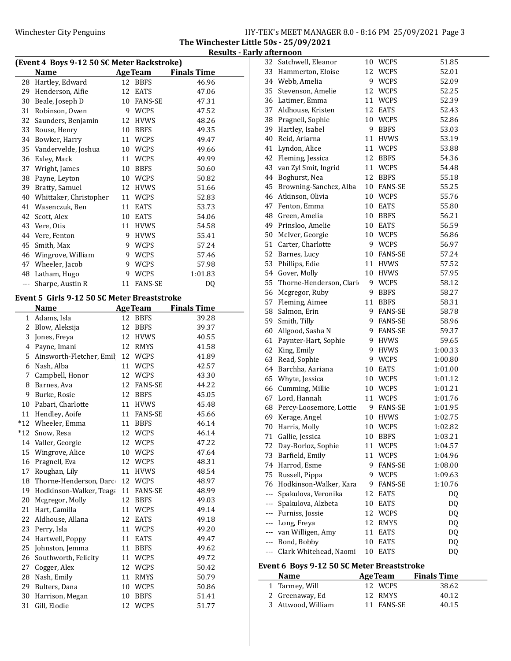The Winchester Little 50s - 25/09/2021 Results - Early afternoon

| (Event 4 Boys 9-12 50 SC Meter Backstroke) |                                             |    |                 |                    |  |
|--------------------------------------------|---------------------------------------------|----|-----------------|--------------------|--|
|                                            | <b>Name</b>                                 |    | <b>Age Team</b> | <b>Finals Time</b> |  |
| 28                                         | Hartley, Edward                             | 12 | <b>BBFS</b>     | 46.96              |  |
| 29                                         | Henderson, Alfie                            | 12 | <b>EATS</b>     | 47.06              |  |
| 30                                         | Beale, Joseph D                             |    | 10 FANS-SE      | 47.31              |  |
| 31                                         | Robinson, Owen                              |    | 9 WCPS          | 47.52              |  |
| 32                                         | Saunders, Benjamin                          |    | 12 HVWS         | 48.26              |  |
| 33                                         | Rouse, Henry                                |    | 10 BBFS         | 49.35              |  |
| 34                                         | Bowker, Harry                               |    | 11 WCPS         | 49.47              |  |
| 35                                         | Vandervelde, Joshua                         |    | 10 WCPS         | 49.66              |  |
| 36                                         | Exley, Mack                                 |    | 11 WCPS         | 49.99              |  |
| 37                                         | Wright, James                               |    | 10 BBFS         | 50.60              |  |
| 38                                         | Payne, Leyton                               |    | 10 WCPS         | 50.82              |  |
| 39                                         | Bratty, Samuel                              |    | 12 HVWS         | 51.66              |  |
| 40                                         | Whittaker, Christopher                      |    | 11 WCPS         | 52.83              |  |
|                                            |                                             |    |                 |                    |  |
| 41                                         | Wasenczuk, Ben                              |    | 11 EATS         | 53.73              |  |
| 42                                         | Scott, Alex                                 |    | 10 EATS         | 54.06              |  |
| 43                                         | Vere, Otis                                  |    | 11 HVWS         | 54.58              |  |
| 44                                         | Vere, Fenton                                |    | 9 HVWS          | 55.41              |  |
| 45                                         | Smith, Max                                  |    | 9 WCPS          | 57.24              |  |
|                                            | 46 Wingrove, William                        |    | 9 WCPS          | 57.46              |  |
| 47                                         | Wheeler, Jacob                              |    | 9 WCPS          | 57.98              |  |
|                                            | 48 Latham, Hugo                             |    | 9 WCPS          | 1:01.83            |  |
| $--$                                       | Sharpe, Austin R                            |    | 11 FANS-SE      | DQ                 |  |
|                                            |                                             |    |                 |                    |  |
|                                            | Event 5 Girls 9-12 50 SC Meter Breaststroke |    |                 |                    |  |
|                                            | <b>Name</b>                                 |    | <b>AgeTeam</b>  | <b>Finals Time</b> |  |
| $\mathbf{1}$                               | Adams, Isla                                 | 12 | <b>BBFS</b>     | 39.28              |  |
| 2                                          | Blow, Aleksija                              | 12 | BBFS            | 39.37              |  |
| 3                                          | Jones, Freya                                | 12 | HVWS            | 40.55              |  |
| 4                                          | Payne, Imani                                |    | 12 RMYS         | 41.58              |  |
| 5                                          | Ainsworth-Fletcher, Emil                    |    | 12 WCPS         | 41.89              |  |
| 6                                          | Nash, Alba                                  |    | 11 WCPS         | 42.57              |  |
| 7                                          | Campbell, Honor                             |    | 12 WCPS         | 43.30              |  |
| 8                                          | Barnes, Ava                                 |    | 12 FANS-SE      | 44.22              |  |
| 9                                          | Burke, Rosie                                |    | 12 BBFS         | 45.05              |  |
| 10                                         | Pabari, Charlotte                           |    | 11 HVWS         | 45.48              |  |
| 11                                         | Hendley, Aoife                              |    | 11 FANS-SE      | 45.66              |  |
| $*12$                                      | Wheeler, Emma                               |    | 11 BBFS         | 46.14              |  |
| $*12$                                      | Snow, Resa                                  | 12 | <b>WCPS</b>     | 46.14              |  |
| 14                                         | Valler, Georgie                             | 12 | <b>WCPS</b>     | 47.22              |  |
| 15                                         | Wingrove, Alice                             | 10 | WCPS            | 47.64              |  |
| 16                                         | Pragnell, Eva                               | 12 | WCPS            | 48.31              |  |
| 17                                         | Roughan, Lily                               | 11 | <b>HVWS</b>     | 48.54              |  |
| 18                                         | Thorne-Henderson, Darc                      |    | 12 WCPS         | 48.97              |  |
|                                            |                                             |    |                 |                    |  |
| 19                                         | Hodkinson-Walker, Teaga                     | 11 | <b>FANS-SE</b>  | 48.99              |  |
| 20                                         | Mcgregor, Molly                             | 12 | <b>BBFS</b>     | 49.03              |  |
| 21                                         | Hart, Camilla                               | 11 | <b>WCPS</b>     | 49.14              |  |
| 22                                         | Aldhouse, Allana                            | 12 | EATS            | 49.18              |  |
| 23                                         | Perry, Isla                                 | 11 | <b>WCPS</b>     | 49.20              |  |
| 24                                         | Hartwell, Poppy                             | 11 | EATS            | 49.47              |  |
| 25                                         | Johnston, Jemma                             | 11 | <b>BBFS</b>     | 49.62              |  |
| 26                                         | Southworth, Felicity                        | 11 | WCPS            | 49.72              |  |
| 27                                         | Cogger, Alex                                | 12 | <b>WCPS</b>     | 50.42              |  |
| 28                                         | Nash, Emily                                 | 11 | RMYS            | 50.79              |  |
| 29                                         | Bulters, Dana                               | 10 | <b>WCPS</b>     | 50.86              |  |
| 30                                         | Harrison, Megan                             | 10 | <b>BBFS</b>     | 51.41              |  |
| 31                                         | Gill, Elodie                                | 12 | <b>WCPS</b>     | 51.77              |  |

| 33<br>Hammerton, Eloise<br>12 WCPS<br>52.01<br>34<br>Webb, Amelia<br>9 WCPS<br>52.09<br>35<br>12 WCPS<br>52.25<br>Stevenson, Amelie<br>36<br>Latimer, Emma<br><b>WCPS</b><br>52.39<br>11<br>Aldhouse, Kristen<br>37<br>12 EATS<br>52.43<br>38<br>Pragnell, Sophie<br>10 WCPS<br>52.86<br>39<br>Hartley, Isabel<br>9 BBFS<br>53.03<br>40<br>Reid, Ariarna<br>11<br><b>HVWS</b><br>53.19<br>41<br>Lyndon, Alice<br>11<br><b>WCPS</b><br>53.88<br>Fleming, Jessica<br>42<br>12 BBFS<br>54.36<br>43<br>van Zyl Smit, Ingrid<br>11 WCPS<br>54.48<br>44<br>Boghurst, Nea<br>12 BBFS<br>55.18<br>55.25<br>45<br>Browning-Sanchez, Alba<br>10 FANS-SE<br>Atkinson, Olivia<br>46<br>10 WCPS<br>55.76<br>47<br>Fenton, Emma<br>10 EATS<br>55.80<br>48<br>Green, Amelia<br>56.21<br>10 BBFS<br>Prinsloo, Amelie<br>49<br>56.59<br>10 EATS<br>McIver, Georgie<br>50<br>10 WCPS<br>56.86<br>51<br>Carter, Charlotte<br>9 WCPS<br>56.97<br>52<br>Barnes, Lucy<br>FANS-SE<br>57.24<br>10<br>53<br>Phillips, Edie<br>11<br><b>HVWS</b><br>57.52<br>54<br>Gover, Molly<br>10 HVWS<br>57.95<br>55<br>Thorne-Henderson, Clari<br>9 WCPS<br>58.12<br>56<br>Mcgregor, Ruby<br>9<br><b>BBFS</b><br>58.27<br>57<br>Fleming, Aimee<br>11<br>58.31<br><b>BBFS</b><br>58<br>Salmon, Erin<br>9 FANS-SE<br>58.78<br>Smith, Tilly<br>59<br>9 FANS-SE<br>58.96<br>60<br>Allgood, Sasha N<br>9 FANS-SE<br>59.37<br>61<br>Paynter-Hart, Sophie<br>9<br><b>HVWS</b><br>59.65<br>62<br>King, Emily<br>9<br><b>HVWS</b><br>1:00.33<br>63<br>Read, Sophie<br>9<br>WCPS<br>1:00.80<br>64<br>Barchha, Aariana<br>10 EATS<br>1:01.00<br>65<br>Whyte, Jessica<br>10 WCPS<br>1:01.12<br>66<br>Cumming, Millie<br>10 WCPS<br>1:01.21<br>67<br>Lord, Hannah<br>11 WCPS<br>1:01.76<br>68<br>Percy-Loosemore, Lottie<br>9 FANS-SE<br>1:01.95<br>69<br>Kerage, Angel<br>10<br><b>HVWS</b><br>1:02.75<br>70<br>Harris, Molly<br>10<br><b>WCPS</b><br>1:02.82<br>Gallie, Jessica<br>1:03.21<br>71<br>10 BBFS<br>Day-Borloz, Sophie<br><b>WCPS</b><br>72<br>11<br>1:04.57<br>73<br>Barfield, Emily<br><b>WCPS</b><br>11<br>1:04.96<br>74<br>Harrod, Esme<br>9<br>FANS-SE<br>1:08.00<br>75<br>Russell, Pippa<br>9<br><b>WCPS</b><br>1:09.63<br>Hodkinson-Walker, Kara<br>FANS-SE<br>1:10.76<br>76<br>9.<br>Spakulova, Veronika<br><b>EATS</b><br>12<br>DQ<br>$- - -$<br>Spakulova, Alzbeta<br>10 EATS<br>DQ<br>$\cdots$<br>--- Furniss, Jossie<br>12 WCPS<br>DQ<br>--- Long, Freya<br>12<br>DQ<br><b>RMYS</b><br>--- van Willigen, Amy<br>DQ<br>11<br>EATS<br>--- Bond, Bobby<br>DQ<br>10<br><b>EATS</b><br>--- Clark Whitehead, Naomi<br><b>EATS</b><br>DQ<br>10<br>Fyent 6, Roys 9-12 50 SC Meter Rreaststroke | 32 | Satchwell, Eleanor | 10 WCPS | 51.85 |
|----------------------------------------------------------------------------------------------------------------------------------------------------------------------------------------------------------------------------------------------------------------------------------------------------------------------------------------------------------------------------------------------------------------------------------------------------------------------------------------------------------------------------------------------------------------------------------------------------------------------------------------------------------------------------------------------------------------------------------------------------------------------------------------------------------------------------------------------------------------------------------------------------------------------------------------------------------------------------------------------------------------------------------------------------------------------------------------------------------------------------------------------------------------------------------------------------------------------------------------------------------------------------------------------------------------------------------------------------------------------------------------------------------------------------------------------------------------------------------------------------------------------------------------------------------------------------------------------------------------------------------------------------------------------------------------------------------------------------------------------------------------------------------------------------------------------------------------------------------------------------------------------------------------------------------------------------------------------------------------------------------------------------------------------------------------------------------------------------------------------------------------------------------------------------------------------------------------------------------------------------------------------------------------------------------------------------------------------------------------------------------------------------------------------------------------------------------------------------------------------------------------------------------------------------------------------------------------------------------------------------------------------------------------|----|--------------------|---------|-------|
|                                                                                                                                                                                                                                                                                                                                                                                                                                                                                                                                                                                                                                                                                                                                                                                                                                                                                                                                                                                                                                                                                                                                                                                                                                                                                                                                                                                                                                                                                                                                                                                                                                                                                                                                                                                                                                                                                                                                                                                                                                                                                                                                                                                                                                                                                                                                                                                                                                                                                                                                                                                                                                                                |    |                    |         |       |
|                                                                                                                                                                                                                                                                                                                                                                                                                                                                                                                                                                                                                                                                                                                                                                                                                                                                                                                                                                                                                                                                                                                                                                                                                                                                                                                                                                                                                                                                                                                                                                                                                                                                                                                                                                                                                                                                                                                                                                                                                                                                                                                                                                                                                                                                                                                                                                                                                                                                                                                                                                                                                                                                |    |                    |         |       |
|                                                                                                                                                                                                                                                                                                                                                                                                                                                                                                                                                                                                                                                                                                                                                                                                                                                                                                                                                                                                                                                                                                                                                                                                                                                                                                                                                                                                                                                                                                                                                                                                                                                                                                                                                                                                                                                                                                                                                                                                                                                                                                                                                                                                                                                                                                                                                                                                                                                                                                                                                                                                                                                                |    |                    |         |       |
|                                                                                                                                                                                                                                                                                                                                                                                                                                                                                                                                                                                                                                                                                                                                                                                                                                                                                                                                                                                                                                                                                                                                                                                                                                                                                                                                                                                                                                                                                                                                                                                                                                                                                                                                                                                                                                                                                                                                                                                                                                                                                                                                                                                                                                                                                                                                                                                                                                                                                                                                                                                                                                                                |    |                    |         |       |
|                                                                                                                                                                                                                                                                                                                                                                                                                                                                                                                                                                                                                                                                                                                                                                                                                                                                                                                                                                                                                                                                                                                                                                                                                                                                                                                                                                                                                                                                                                                                                                                                                                                                                                                                                                                                                                                                                                                                                                                                                                                                                                                                                                                                                                                                                                                                                                                                                                                                                                                                                                                                                                                                |    |                    |         |       |
|                                                                                                                                                                                                                                                                                                                                                                                                                                                                                                                                                                                                                                                                                                                                                                                                                                                                                                                                                                                                                                                                                                                                                                                                                                                                                                                                                                                                                                                                                                                                                                                                                                                                                                                                                                                                                                                                                                                                                                                                                                                                                                                                                                                                                                                                                                                                                                                                                                                                                                                                                                                                                                                                |    |                    |         |       |
|                                                                                                                                                                                                                                                                                                                                                                                                                                                                                                                                                                                                                                                                                                                                                                                                                                                                                                                                                                                                                                                                                                                                                                                                                                                                                                                                                                                                                                                                                                                                                                                                                                                                                                                                                                                                                                                                                                                                                                                                                                                                                                                                                                                                                                                                                                                                                                                                                                                                                                                                                                                                                                                                |    |                    |         |       |
|                                                                                                                                                                                                                                                                                                                                                                                                                                                                                                                                                                                                                                                                                                                                                                                                                                                                                                                                                                                                                                                                                                                                                                                                                                                                                                                                                                                                                                                                                                                                                                                                                                                                                                                                                                                                                                                                                                                                                                                                                                                                                                                                                                                                                                                                                                                                                                                                                                                                                                                                                                                                                                                                |    |                    |         |       |
|                                                                                                                                                                                                                                                                                                                                                                                                                                                                                                                                                                                                                                                                                                                                                                                                                                                                                                                                                                                                                                                                                                                                                                                                                                                                                                                                                                                                                                                                                                                                                                                                                                                                                                                                                                                                                                                                                                                                                                                                                                                                                                                                                                                                                                                                                                                                                                                                                                                                                                                                                                                                                                                                |    |                    |         |       |
|                                                                                                                                                                                                                                                                                                                                                                                                                                                                                                                                                                                                                                                                                                                                                                                                                                                                                                                                                                                                                                                                                                                                                                                                                                                                                                                                                                                                                                                                                                                                                                                                                                                                                                                                                                                                                                                                                                                                                                                                                                                                                                                                                                                                                                                                                                                                                                                                                                                                                                                                                                                                                                                                |    |                    |         |       |
|                                                                                                                                                                                                                                                                                                                                                                                                                                                                                                                                                                                                                                                                                                                                                                                                                                                                                                                                                                                                                                                                                                                                                                                                                                                                                                                                                                                                                                                                                                                                                                                                                                                                                                                                                                                                                                                                                                                                                                                                                                                                                                                                                                                                                                                                                                                                                                                                                                                                                                                                                                                                                                                                |    |                    |         |       |
|                                                                                                                                                                                                                                                                                                                                                                                                                                                                                                                                                                                                                                                                                                                                                                                                                                                                                                                                                                                                                                                                                                                                                                                                                                                                                                                                                                                                                                                                                                                                                                                                                                                                                                                                                                                                                                                                                                                                                                                                                                                                                                                                                                                                                                                                                                                                                                                                                                                                                                                                                                                                                                                                |    |                    |         |       |
|                                                                                                                                                                                                                                                                                                                                                                                                                                                                                                                                                                                                                                                                                                                                                                                                                                                                                                                                                                                                                                                                                                                                                                                                                                                                                                                                                                                                                                                                                                                                                                                                                                                                                                                                                                                                                                                                                                                                                                                                                                                                                                                                                                                                                                                                                                                                                                                                                                                                                                                                                                                                                                                                |    |                    |         |       |
|                                                                                                                                                                                                                                                                                                                                                                                                                                                                                                                                                                                                                                                                                                                                                                                                                                                                                                                                                                                                                                                                                                                                                                                                                                                                                                                                                                                                                                                                                                                                                                                                                                                                                                                                                                                                                                                                                                                                                                                                                                                                                                                                                                                                                                                                                                                                                                                                                                                                                                                                                                                                                                                                |    |                    |         |       |
|                                                                                                                                                                                                                                                                                                                                                                                                                                                                                                                                                                                                                                                                                                                                                                                                                                                                                                                                                                                                                                                                                                                                                                                                                                                                                                                                                                                                                                                                                                                                                                                                                                                                                                                                                                                                                                                                                                                                                                                                                                                                                                                                                                                                                                                                                                                                                                                                                                                                                                                                                                                                                                                                |    |                    |         |       |
|                                                                                                                                                                                                                                                                                                                                                                                                                                                                                                                                                                                                                                                                                                                                                                                                                                                                                                                                                                                                                                                                                                                                                                                                                                                                                                                                                                                                                                                                                                                                                                                                                                                                                                                                                                                                                                                                                                                                                                                                                                                                                                                                                                                                                                                                                                                                                                                                                                                                                                                                                                                                                                                                |    |                    |         |       |
|                                                                                                                                                                                                                                                                                                                                                                                                                                                                                                                                                                                                                                                                                                                                                                                                                                                                                                                                                                                                                                                                                                                                                                                                                                                                                                                                                                                                                                                                                                                                                                                                                                                                                                                                                                                                                                                                                                                                                                                                                                                                                                                                                                                                                                                                                                                                                                                                                                                                                                                                                                                                                                                                |    |                    |         |       |
|                                                                                                                                                                                                                                                                                                                                                                                                                                                                                                                                                                                                                                                                                                                                                                                                                                                                                                                                                                                                                                                                                                                                                                                                                                                                                                                                                                                                                                                                                                                                                                                                                                                                                                                                                                                                                                                                                                                                                                                                                                                                                                                                                                                                                                                                                                                                                                                                                                                                                                                                                                                                                                                                |    |                    |         |       |
|                                                                                                                                                                                                                                                                                                                                                                                                                                                                                                                                                                                                                                                                                                                                                                                                                                                                                                                                                                                                                                                                                                                                                                                                                                                                                                                                                                                                                                                                                                                                                                                                                                                                                                                                                                                                                                                                                                                                                                                                                                                                                                                                                                                                                                                                                                                                                                                                                                                                                                                                                                                                                                                                |    |                    |         |       |
|                                                                                                                                                                                                                                                                                                                                                                                                                                                                                                                                                                                                                                                                                                                                                                                                                                                                                                                                                                                                                                                                                                                                                                                                                                                                                                                                                                                                                                                                                                                                                                                                                                                                                                                                                                                                                                                                                                                                                                                                                                                                                                                                                                                                                                                                                                                                                                                                                                                                                                                                                                                                                                                                |    |                    |         |       |
|                                                                                                                                                                                                                                                                                                                                                                                                                                                                                                                                                                                                                                                                                                                                                                                                                                                                                                                                                                                                                                                                                                                                                                                                                                                                                                                                                                                                                                                                                                                                                                                                                                                                                                                                                                                                                                                                                                                                                                                                                                                                                                                                                                                                                                                                                                                                                                                                                                                                                                                                                                                                                                                                |    |                    |         |       |
|                                                                                                                                                                                                                                                                                                                                                                                                                                                                                                                                                                                                                                                                                                                                                                                                                                                                                                                                                                                                                                                                                                                                                                                                                                                                                                                                                                                                                                                                                                                                                                                                                                                                                                                                                                                                                                                                                                                                                                                                                                                                                                                                                                                                                                                                                                                                                                                                                                                                                                                                                                                                                                                                |    |                    |         |       |
|                                                                                                                                                                                                                                                                                                                                                                                                                                                                                                                                                                                                                                                                                                                                                                                                                                                                                                                                                                                                                                                                                                                                                                                                                                                                                                                                                                                                                                                                                                                                                                                                                                                                                                                                                                                                                                                                                                                                                                                                                                                                                                                                                                                                                                                                                                                                                                                                                                                                                                                                                                                                                                                                |    |                    |         |       |
|                                                                                                                                                                                                                                                                                                                                                                                                                                                                                                                                                                                                                                                                                                                                                                                                                                                                                                                                                                                                                                                                                                                                                                                                                                                                                                                                                                                                                                                                                                                                                                                                                                                                                                                                                                                                                                                                                                                                                                                                                                                                                                                                                                                                                                                                                                                                                                                                                                                                                                                                                                                                                                                                |    |                    |         |       |
|                                                                                                                                                                                                                                                                                                                                                                                                                                                                                                                                                                                                                                                                                                                                                                                                                                                                                                                                                                                                                                                                                                                                                                                                                                                                                                                                                                                                                                                                                                                                                                                                                                                                                                                                                                                                                                                                                                                                                                                                                                                                                                                                                                                                                                                                                                                                                                                                                                                                                                                                                                                                                                                                |    |                    |         |       |
|                                                                                                                                                                                                                                                                                                                                                                                                                                                                                                                                                                                                                                                                                                                                                                                                                                                                                                                                                                                                                                                                                                                                                                                                                                                                                                                                                                                                                                                                                                                                                                                                                                                                                                                                                                                                                                                                                                                                                                                                                                                                                                                                                                                                                                                                                                                                                                                                                                                                                                                                                                                                                                                                |    |                    |         |       |
|                                                                                                                                                                                                                                                                                                                                                                                                                                                                                                                                                                                                                                                                                                                                                                                                                                                                                                                                                                                                                                                                                                                                                                                                                                                                                                                                                                                                                                                                                                                                                                                                                                                                                                                                                                                                                                                                                                                                                                                                                                                                                                                                                                                                                                                                                                                                                                                                                                                                                                                                                                                                                                                                |    |                    |         |       |
|                                                                                                                                                                                                                                                                                                                                                                                                                                                                                                                                                                                                                                                                                                                                                                                                                                                                                                                                                                                                                                                                                                                                                                                                                                                                                                                                                                                                                                                                                                                                                                                                                                                                                                                                                                                                                                                                                                                                                                                                                                                                                                                                                                                                                                                                                                                                                                                                                                                                                                                                                                                                                                                                |    |                    |         |       |
|                                                                                                                                                                                                                                                                                                                                                                                                                                                                                                                                                                                                                                                                                                                                                                                                                                                                                                                                                                                                                                                                                                                                                                                                                                                                                                                                                                                                                                                                                                                                                                                                                                                                                                                                                                                                                                                                                                                                                                                                                                                                                                                                                                                                                                                                                                                                                                                                                                                                                                                                                                                                                                                                |    |                    |         |       |
|                                                                                                                                                                                                                                                                                                                                                                                                                                                                                                                                                                                                                                                                                                                                                                                                                                                                                                                                                                                                                                                                                                                                                                                                                                                                                                                                                                                                                                                                                                                                                                                                                                                                                                                                                                                                                                                                                                                                                                                                                                                                                                                                                                                                                                                                                                                                                                                                                                                                                                                                                                                                                                                                |    |                    |         |       |
|                                                                                                                                                                                                                                                                                                                                                                                                                                                                                                                                                                                                                                                                                                                                                                                                                                                                                                                                                                                                                                                                                                                                                                                                                                                                                                                                                                                                                                                                                                                                                                                                                                                                                                                                                                                                                                                                                                                                                                                                                                                                                                                                                                                                                                                                                                                                                                                                                                                                                                                                                                                                                                                                |    |                    |         |       |
|                                                                                                                                                                                                                                                                                                                                                                                                                                                                                                                                                                                                                                                                                                                                                                                                                                                                                                                                                                                                                                                                                                                                                                                                                                                                                                                                                                                                                                                                                                                                                                                                                                                                                                                                                                                                                                                                                                                                                                                                                                                                                                                                                                                                                                                                                                                                                                                                                                                                                                                                                                                                                                                                |    |                    |         |       |
|                                                                                                                                                                                                                                                                                                                                                                                                                                                                                                                                                                                                                                                                                                                                                                                                                                                                                                                                                                                                                                                                                                                                                                                                                                                                                                                                                                                                                                                                                                                                                                                                                                                                                                                                                                                                                                                                                                                                                                                                                                                                                                                                                                                                                                                                                                                                                                                                                                                                                                                                                                                                                                                                |    |                    |         |       |
|                                                                                                                                                                                                                                                                                                                                                                                                                                                                                                                                                                                                                                                                                                                                                                                                                                                                                                                                                                                                                                                                                                                                                                                                                                                                                                                                                                                                                                                                                                                                                                                                                                                                                                                                                                                                                                                                                                                                                                                                                                                                                                                                                                                                                                                                                                                                                                                                                                                                                                                                                                                                                                                                |    |                    |         |       |
|                                                                                                                                                                                                                                                                                                                                                                                                                                                                                                                                                                                                                                                                                                                                                                                                                                                                                                                                                                                                                                                                                                                                                                                                                                                                                                                                                                                                                                                                                                                                                                                                                                                                                                                                                                                                                                                                                                                                                                                                                                                                                                                                                                                                                                                                                                                                                                                                                                                                                                                                                                                                                                                                |    |                    |         |       |
|                                                                                                                                                                                                                                                                                                                                                                                                                                                                                                                                                                                                                                                                                                                                                                                                                                                                                                                                                                                                                                                                                                                                                                                                                                                                                                                                                                                                                                                                                                                                                                                                                                                                                                                                                                                                                                                                                                                                                                                                                                                                                                                                                                                                                                                                                                                                                                                                                                                                                                                                                                                                                                                                |    |                    |         |       |
|                                                                                                                                                                                                                                                                                                                                                                                                                                                                                                                                                                                                                                                                                                                                                                                                                                                                                                                                                                                                                                                                                                                                                                                                                                                                                                                                                                                                                                                                                                                                                                                                                                                                                                                                                                                                                                                                                                                                                                                                                                                                                                                                                                                                                                                                                                                                                                                                                                                                                                                                                                                                                                                                |    |                    |         |       |
|                                                                                                                                                                                                                                                                                                                                                                                                                                                                                                                                                                                                                                                                                                                                                                                                                                                                                                                                                                                                                                                                                                                                                                                                                                                                                                                                                                                                                                                                                                                                                                                                                                                                                                                                                                                                                                                                                                                                                                                                                                                                                                                                                                                                                                                                                                                                                                                                                                                                                                                                                                                                                                                                |    |                    |         |       |
|                                                                                                                                                                                                                                                                                                                                                                                                                                                                                                                                                                                                                                                                                                                                                                                                                                                                                                                                                                                                                                                                                                                                                                                                                                                                                                                                                                                                                                                                                                                                                                                                                                                                                                                                                                                                                                                                                                                                                                                                                                                                                                                                                                                                                                                                                                                                                                                                                                                                                                                                                                                                                                                                |    |                    |         |       |
|                                                                                                                                                                                                                                                                                                                                                                                                                                                                                                                                                                                                                                                                                                                                                                                                                                                                                                                                                                                                                                                                                                                                                                                                                                                                                                                                                                                                                                                                                                                                                                                                                                                                                                                                                                                                                                                                                                                                                                                                                                                                                                                                                                                                                                                                                                                                                                                                                                                                                                                                                                                                                                                                |    |                    |         |       |
|                                                                                                                                                                                                                                                                                                                                                                                                                                                                                                                                                                                                                                                                                                                                                                                                                                                                                                                                                                                                                                                                                                                                                                                                                                                                                                                                                                                                                                                                                                                                                                                                                                                                                                                                                                                                                                                                                                                                                                                                                                                                                                                                                                                                                                                                                                                                                                                                                                                                                                                                                                                                                                                                |    |                    |         |       |
|                                                                                                                                                                                                                                                                                                                                                                                                                                                                                                                                                                                                                                                                                                                                                                                                                                                                                                                                                                                                                                                                                                                                                                                                                                                                                                                                                                                                                                                                                                                                                                                                                                                                                                                                                                                                                                                                                                                                                                                                                                                                                                                                                                                                                                                                                                                                                                                                                                                                                                                                                                                                                                                                |    |                    |         |       |
|                                                                                                                                                                                                                                                                                                                                                                                                                                                                                                                                                                                                                                                                                                                                                                                                                                                                                                                                                                                                                                                                                                                                                                                                                                                                                                                                                                                                                                                                                                                                                                                                                                                                                                                                                                                                                                                                                                                                                                                                                                                                                                                                                                                                                                                                                                                                                                                                                                                                                                                                                                                                                                                                |    |                    |         |       |
|                                                                                                                                                                                                                                                                                                                                                                                                                                                                                                                                                                                                                                                                                                                                                                                                                                                                                                                                                                                                                                                                                                                                                                                                                                                                                                                                                                                                                                                                                                                                                                                                                                                                                                                                                                                                                                                                                                                                                                                                                                                                                                                                                                                                                                                                                                                                                                                                                                                                                                                                                                                                                                                                |    |                    |         |       |
|                                                                                                                                                                                                                                                                                                                                                                                                                                                                                                                                                                                                                                                                                                                                                                                                                                                                                                                                                                                                                                                                                                                                                                                                                                                                                                                                                                                                                                                                                                                                                                                                                                                                                                                                                                                                                                                                                                                                                                                                                                                                                                                                                                                                                                                                                                                                                                                                                                                                                                                                                                                                                                                                |    |                    |         |       |
|                                                                                                                                                                                                                                                                                                                                                                                                                                                                                                                                                                                                                                                                                                                                                                                                                                                                                                                                                                                                                                                                                                                                                                                                                                                                                                                                                                                                                                                                                                                                                                                                                                                                                                                                                                                                                                                                                                                                                                                                                                                                                                                                                                                                                                                                                                                                                                                                                                                                                                                                                                                                                                                                |    |                    |         |       |
|                                                                                                                                                                                                                                                                                                                                                                                                                                                                                                                                                                                                                                                                                                                                                                                                                                                                                                                                                                                                                                                                                                                                                                                                                                                                                                                                                                                                                                                                                                                                                                                                                                                                                                                                                                                                                                                                                                                                                                                                                                                                                                                                                                                                                                                                                                                                                                                                                                                                                                                                                                                                                                                                |    |                    |         |       |
|                                                                                                                                                                                                                                                                                                                                                                                                                                                                                                                                                                                                                                                                                                                                                                                                                                                                                                                                                                                                                                                                                                                                                                                                                                                                                                                                                                                                                                                                                                                                                                                                                                                                                                                                                                                                                                                                                                                                                                                                                                                                                                                                                                                                                                                                                                                                                                                                                                                                                                                                                                                                                                                                |    |                    |         |       |
|                                                                                                                                                                                                                                                                                                                                                                                                                                                                                                                                                                                                                                                                                                                                                                                                                                                                                                                                                                                                                                                                                                                                                                                                                                                                                                                                                                                                                                                                                                                                                                                                                                                                                                                                                                                                                                                                                                                                                                                                                                                                                                                                                                                                                                                                                                                                                                                                                                                                                                                                                                                                                                                                |    |                    |         |       |
|                                                                                                                                                                                                                                                                                                                                                                                                                                                                                                                                                                                                                                                                                                                                                                                                                                                                                                                                                                                                                                                                                                                                                                                                                                                                                                                                                                                                                                                                                                                                                                                                                                                                                                                                                                                                                                                                                                                                                                                                                                                                                                                                                                                                                                                                                                                                                                                                                                                                                                                                                                                                                                                                |    |                    |         |       |
|                                                                                                                                                                                                                                                                                                                                                                                                                                                                                                                                                                                                                                                                                                                                                                                                                                                                                                                                                                                                                                                                                                                                                                                                                                                                                                                                                                                                                                                                                                                                                                                                                                                                                                                                                                                                                                                                                                                                                                                                                                                                                                                                                                                                                                                                                                                                                                                                                                                                                                                                                                                                                                                                |    |                    |         |       |
|                                                                                                                                                                                                                                                                                                                                                                                                                                                                                                                                                                                                                                                                                                                                                                                                                                                                                                                                                                                                                                                                                                                                                                                                                                                                                                                                                                                                                                                                                                                                                                                                                                                                                                                                                                                                                                                                                                                                                                                                                                                                                                                                                                                                                                                                                                                                                                                                                                                                                                                                                                                                                                                                |    |                    |         |       |

#### Event 6 Boys 9-12 50 SC Meter Breaststroke

| <b>Name</b>        | <b>AgeTeam</b> | <b>Finals Time</b> |
|--------------------|----------------|--------------------|
| 1 Tarmey, Will     | 12 WCPS        | 38.62              |
| 2 Greenaway, Ed    | 12 RMYS        | 40.12              |
| 3 Attwood, William | 11 FANS-SE     | 40.15              |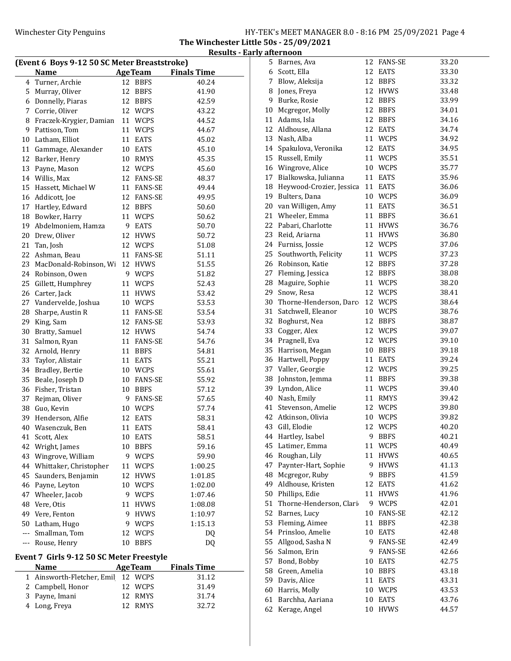The Winchester Little 50s - 25/09/2021 Results - Early afternoon

| (Event 6 Boys 9-12 50 SC Meter Breaststroke) |                                          |                 |                     |                    |  |
|----------------------------------------------|------------------------------------------|-----------------|---------------------|--------------------|--|
|                                              | Name                                     |                 | <b>AgeTeam</b>      | <b>Finals Time</b> |  |
| 4                                            | Turner, Archie                           | 12              | <b>BBFS</b>         | 40.24              |  |
| 5                                            | Murray, Oliver                           | 12              | <b>BBFS</b>         | 41.90              |  |
| 6                                            | Donnelly, Piaras                         |                 | 12 BBFS             | 42.59              |  |
| 7                                            | Corrie, Oliver                           |                 | 12 WCPS             | 43.22              |  |
| 8                                            | Fraczek-Krygier, Damian                  |                 | 11 WCPS             | 44.52              |  |
| 9                                            | Pattison, Tom                            |                 | 11 WCPS             | 44.67              |  |
| 10                                           | Latham, Elliot                           | 11              | EATS                | 45.02              |  |
| 11                                           | Gammage, Alexander                       |                 | 10 EATS             | 45.10              |  |
| 12                                           | Barker, Henry                            |                 | 10 RMYS             | 45.35              |  |
| 13                                           | Payne, Mason                             |                 | 12 WCPS             | 45.60              |  |
| 14                                           | Willis, Max                              |                 | 12 FANS-SE          | 48.37              |  |
| 15                                           | Hassett, Michael W                       |                 | 11 FANS-SE          | 49.44              |  |
| 16                                           | Addicott, Joe                            |                 | 12 FANS-SE          | 49.95              |  |
|                                              |                                          |                 |                     |                    |  |
| 17                                           | Hartley, Edward                          |                 | 12 BBFS             | 50.60              |  |
| 18                                           | Bowker, Harry                            |                 | 11 WCPS             | 50.62              |  |
| 19                                           | Abdelmoniem, Hamza                       |                 | 9 EATS              | 50.70              |  |
| 20                                           | Drew, Oliver                             |                 | 12 HVWS             | 50.72              |  |
| 21                                           | Tan, Josh                                |                 | 12 WCPS             | 51.08              |  |
| 22                                           | Ashman, Beau                             |                 | 11 FANS-SE          | 51.11              |  |
| 23                                           | MacDonald-Robinson, Wi                   | 12              | <b>HVWS</b>         | 51.55              |  |
| 24                                           | Robinson, Owen                           |                 | 9 WCPS              | 51.82              |  |
| 25                                           | Gillett, Humphrey                        | 11              | <b>WCPS</b>         | 52.43              |  |
| 26                                           | Carter, Jack                             |                 | 11 HVWS             | 53.42              |  |
| 27                                           | Vandervelde, Joshua                      |                 | 10 WCPS             | 53.53              |  |
| 28                                           | Sharpe, Austin R                         |                 | 11 FANS-SE          | 53.54              |  |
| 29                                           | King, Sam                                |                 | 12 FANS-SE          | 53.93              |  |
| 30                                           | Bratty, Samuel                           |                 | 12 HVWS             | 54.74              |  |
| 31                                           | Salmon, Ryan                             |                 | 11 FANS-SE          | 54.76              |  |
| 32                                           | Arnold, Henry                            |                 | 11 BBFS             | 54.81              |  |
| 33                                           | Taylor, Alistair                         |                 | 11 EATS             | 55.21              |  |
| 34                                           | Bradley, Bertie                          |                 | 10 WCPS             | 55.61              |  |
| 35                                           | Beale, Joseph D                          |                 | 10 FANS-SE          | 55.92              |  |
| 36                                           | Fisher, Tristan                          |                 | 10 BBFS             | 57.12              |  |
| 37                                           | Rejman, Oliver                           |                 | 9 FANS-SE           | 57.65              |  |
| 38                                           | Guo, Kevin                               |                 | 10 WCPS             | 57.74              |  |
| 39                                           | Henderson, Alfie                         |                 | 12 EATS             | 58.31              |  |
| 40                                           | Wasenczuk, Ben                           | 11              | <b>EATS</b>         | 58.41              |  |
| 41                                           | Scott, Alex                              | 10              |                     | 58.51              |  |
| 42                                           |                                          | 10              | EATS<br><b>BBFS</b> |                    |  |
|                                              | Wright, James                            |                 |                     | 59.16              |  |
| 43                                           | Wingrove, William                        | 9               | <b>WCPS</b>         | 59.90              |  |
| 44                                           | Whittaker, Christopher                   | 11              | WCPS                | 1:00.25            |  |
| 45                                           | Saunders, Benjamin                       | 12              | <b>HVWS</b>         | 1:01.85            |  |
| 46                                           | Payne, Leyton                            | 10 <sup>°</sup> | WCPS                | 1:02.00            |  |
| 47                                           | Wheeler, Jacob                           | 9               | <b>WCPS</b>         | 1:07.46            |  |
| 48                                           | Vere, Otis                               | 11              | <b>HVWS</b>         | 1:08.08            |  |
| 49                                           | Vere, Fenton                             | 9               | <b>HVWS</b>         | 1:10.97            |  |
|                                              | 50 Latham, Hugo                          |                 | 9 WCPS              | 1:15.13            |  |
|                                              | --- Smallman, Tom                        | 12              | <b>WCPS</b>         | DQ                 |  |
| ---                                          | Rouse, Henry                             | 10              | <b>BBFS</b>         | DQ                 |  |
|                                              | Event 7 Girls 9-12 50 SC Meter Freestyle |                 |                     |                    |  |
|                                              | <b>Name</b>                              |                 | <b>AgeTeam</b>      | <b>Finals Time</b> |  |
|                                              |                                          | 12              |                     |                    |  |
| 1                                            | Ainsworth-Fletcher, Emil                 |                 | <b>WCPS</b>         | 31.12              |  |
| 2                                            | Campbell, Honor                          | 12              | <b>WCPS</b>         | 31.49              |  |
| 3                                            | Payne, Imani                             | 12              | RMYS                | 31.74              |  |
| 4                                            | Long, Freya                              | 12              | <b>RMYS</b>         | 32.72              |  |

| 5. | Barnes, Ava              |    | 12 FANS-SE  | 33.20 |
|----|--------------------------|----|-------------|-------|
|    | 6 Scott, Ella            |    | 12 EATS     | 33.30 |
| 7  | Blow, Aleksija           |    | 12 BBFS     | 33.32 |
| 8  | Jones, Freya             |    | 12 HVWS     | 33.48 |
| 9  | Burke, Rosie             |    | 12 BBFS     | 33.99 |
| 10 | Mcgregor, Molly          | 12 | <b>BBFS</b> | 34.01 |
| 11 | Adams, Isla              | 12 | <b>BBFS</b> | 34.16 |
| 12 | Aldhouse, Allana         |    | 12 EATS     | 34.74 |
| 13 | Nash, Alba               | 11 | <b>WCPS</b> | 34.92 |
|    | 14 Spakulova, Veronika   |    | 12 EATS     | 34.95 |
|    | 15 Russell, Emily        |    | 11 WCPS     | 35.51 |
|    | 16 Wingrove, Alice       |    | 10 WCPS     | 35.77 |
| 17 | Bialkowska, Julianna     |    | 11 EATS     | 35.96 |
| 18 | Heywood-Crozier, Jessica |    | 11 EATS     | 36.06 |
| 19 | Bulters, Dana            |    | 10 WCPS     | 36.09 |
| 20 | van Willigen, Amy        |    | 11 EATS     | 36.51 |
| 21 | Wheeler, Emma            | 11 | <b>BBFS</b> | 36.61 |
| 22 | Pabari, Charlotte        |    | 11 HVWS     | 36.76 |
| 23 | Reid, Ariarna            | 11 | <b>HVWS</b> | 36.80 |
| 24 | Furniss, Jossie          |    | 12 WCPS     | 37.06 |
| 25 | Southworth, Felicity     |    | 11 WCPS     | 37.23 |
| 26 | Robinson, Katie          | 12 | <b>BBFS</b> | 37.28 |
| 27 | Fleming, Jessica         | 12 | <b>BBFS</b> | 38.08 |
| 28 | Maguire, Sophie          |    | 11 WCPS     | 38.20 |
| 29 | Snow, Resa               |    | 12 WCPS     | 38.41 |
|    |                          |    |             |       |
| 30 | Thorne-Henderson, Darc   |    | 12 WCPS     | 38.64 |
| 31 | Satchwell, Eleanor       |    | 10 WCPS     | 38.76 |
| 32 | Boghurst, Nea            |    | 12 BBFS     | 38.87 |
| 33 | Cogger, Alex             |    | 12 WCPS     | 39.07 |
| 34 | Pragnell, Eva            | 12 | <b>WCPS</b> | 39.10 |
| 35 | Harrison, Megan          |    | 10 BBFS     | 39.18 |
| 36 | Hartwell, Poppy          |    | 11 EATS     | 39.24 |
| 37 | Valler, Georgie          |    | 12 WCPS     | 39.25 |
| 38 | Johnston, Jemma          |    | 11 BBFS     | 39.38 |
| 39 | Lyndon, Alice            | 11 | <b>WCPS</b> | 39.40 |
| 40 | Nash, Emily              |    | 11 RMYS     | 39.42 |
| 41 | Stevenson, Amelie        |    | 12 WCPS     | 39.80 |
| 42 | Atkinson, Olivia         | 10 | WCPS        | 39.82 |
| 43 | Gill, Elodie             | 12 | <b>WCPS</b> | 40.20 |
| 44 | Hartley, Isabel          | 9  | <b>BBFS</b> | 40.21 |
| 45 | Latimer, Emma            | 11 | <b>WCPS</b> | 40.49 |
| 46 | Roughan, Lily            | 11 | <b>HVWS</b> | 40.65 |
| 47 | Paynter-Hart, Sophie     | 9  | HVWS        | 41.13 |
| 48 | Mcgregor, Ruby           | 9  | <b>BBFS</b> | 41.59 |
| 49 | Aldhouse, Kristen        | 12 | <b>EATS</b> | 41.62 |
| 50 | Phillips, Edie           | 11 | <b>HVWS</b> | 41.96 |
| 51 | Thorne-Henderson, Clari  |    | 9 WCPS      | 42.01 |
| 52 | Barnes, Lucy             |    | 10 FANS-SE  | 42.12 |
| 53 | Fleming, Aimee           | 11 | <b>BBFS</b> | 42.38 |
| 54 | Prinsloo, Amelie         | 10 | <b>EATS</b> | 42.48 |
| 55 | Allgood, Sasha N         |    | 9 FANS-SE   | 42.49 |
| 56 | Salmon, Erin             |    | 9 FANS-SE   | 42.66 |
| 57 | Bond, Bobby              | 10 | <b>EATS</b> | 42.75 |
| 58 | Green, Amelia            | 10 | <b>BBFS</b> | 43.18 |
| 59 | Davis, Alice             | 11 | EATS        | 43.31 |
| 60 | Harris, Molly            | 10 | <b>WCPS</b> | 43.53 |
| 61 | Barchha, Aariana         | 10 | <b>EATS</b> | 43.76 |
| 62 | Kerage, Angel            | 10 | <b>HVWS</b> | 44.57 |
|    |                          |    |             |       |